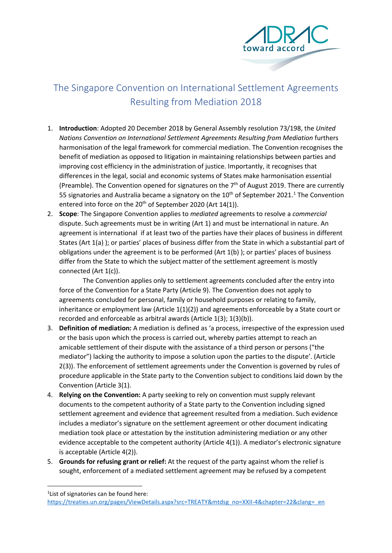

## The Singapore Convention on International Settlement Agreements Resulting from Mediation 2018

- 1. **Introduction**: Adopted 20 December 2018 by General Assembly resolution 73/198, the *United Nations Convention on International Settlement Agreements Resulting from Mediation* furthers harmonisation of the legal framework for commercial mediation. The Convention recognises the benefit of mediation as opposed to litigation in maintaining relationships between parties and improving cost efficiency in the administration of justice. Importantly, it recognises that differences in the legal, social and economic systems of States make harmonisation essential (Preamble). The Convention opened for signatures on the  $7<sup>th</sup>$  of August 2019. There are currently 55 signatories and Australia became a signatory on the  $10<sup>th</sup>$  $10<sup>th</sup>$  of September 2021.<sup>1</sup> The Convention entered into force on the 20<sup>th</sup> of September 2020 (Art 14(1)).
- 2. **Scope**: The Singapore Convention applies to *mediated* agreements to resolve a *commercial* dispute. Such agreements must be in writing (Art 1) and must be international in nature. An agreement is international if at least two of the parties have their places of business in different States (Art 1(a) ); or parties' places of business differ from the State in which a substantial part of obligations under the agreement is to be performed (Art  $1(b)$ ); or parties' places of business differ from the State to which the subject matter of the settlement agreement is mostly connected (Art 1(c)).

The Convention applies only to settlement agreements concluded after the entry into force of the Convention for a State Party (Article 9). The Convention does not apply to agreements concluded for personal, family or household purposes or relating to family, inheritance or employment law (Article  $1(1)(2)$ ) and agreements enforceable by a State court or recorded and enforceable as arbitral awards (Article 1(3); 1(3)(b)).

- 3. **Definition of mediation:** A mediation is defined as 'a process, irrespective of the expression used or the basis upon which the process is carried out, whereby parties attempt to reach an amicable settlement of their dispute with the assistance of a third person or persons ("the mediator") lacking the authority to impose a solution upon the parties to the dispute'. (Article 2(3)). The enforcement of settlement agreements under the Convention is governed by rules of procedure applicable in the State party to the Convention subject to conditions laid down by the Convention (Article 3(1).
- 4. **Relying on the Convention:** A party seeking to rely on convention must supply relevant documents to the competent authority of a State party to the Convention including signed settlement agreement and evidence that agreement resulted from a mediation. Such evidence includes a mediator's signature on the settlement agreement or other document indicating mediation took place or attestation by the institution administering mediation or any other evidence acceptable to the competent authority (Article 4(1)). A mediator's electronic signature is acceptable (Article 4(2)).
- 5. **Grounds for refusing grant or relief:** At the request of the party against whom the relief is sought, enforcement of a mediated settlement agreement may be refused by a competent

<span id="page-0-0"></span> $\frac{1}{1}$ <sup>1</sup> List of signatories can be found here:

[https://treaties.un.org/pages/ViewDetails.aspx?src=TREATY&mtdsg\\_no=XXII-4&chapter=22&clang=\\_en](https://treaties.un.org/pages/ViewDetails.aspx?src=TREATY&mtdsg_no=XXII-4&chapter=22&clang=_en)